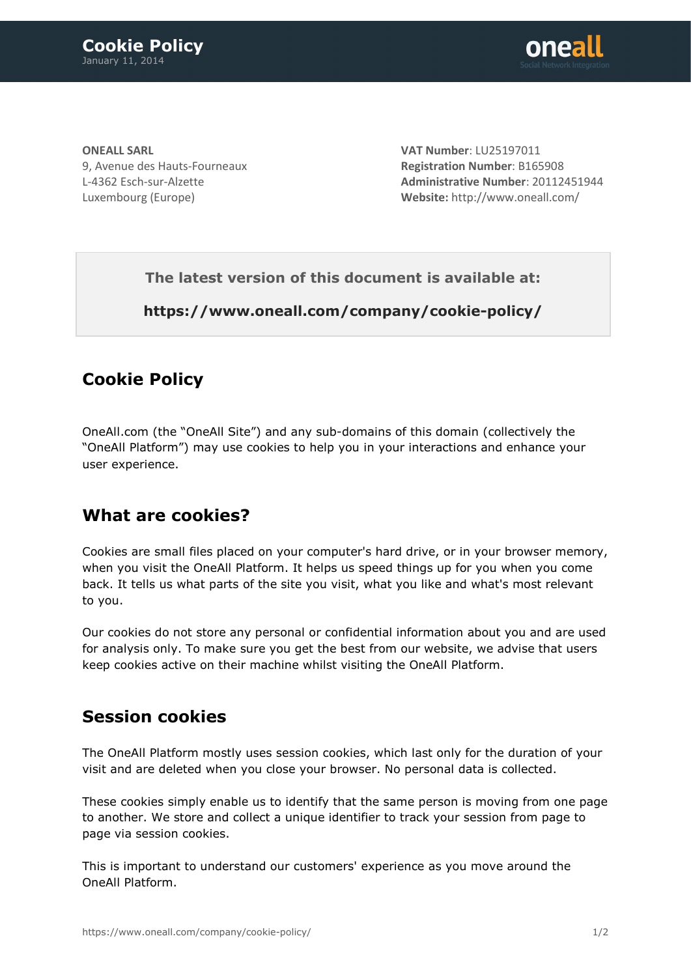

**ONEALL SARL** 9, Avenue des Hauts-Fourneaux L-4362 Esch-sur-Alzette Luxembourg (Europe)

**VAT Number**: LU25197011 **Registration Number**: B165908 **Administrative Number**: 20112451944 **Website:** <http://www.oneall.com/>

**The latest version of this document is available at:**

**<https://www.oneall.com/company/cookie-policy/>**

## **Cookie Policy**

OneAll.com (the "OneAll Site") and any sub-domains of this domain (collectively the "OneAll Platform") may use cookies to help you in your interactions and enhance your user experience.

## **What are cookies?**

Cookies are small files placed on your computer's hard drive, or in your browser memory, when you visit the OneAll Platform. It helps us speed things up for you when you come back. It tells us what parts of the site you visit, what you like and what's most relevant to you.

Our cookies do not store any personal or confidential information about you and are used for analysis only. To make sure you get the best from our website, we advise that users keep cookies active on their machine whilst visiting the OneAll Platform.

#### **Session cookies**

The OneAll Platform mostly uses session cookies, which last only for the duration of your visit and are deleted when you close your browser. No personal data is collected.

These cookies simply enable us to identify that the same person is moving from one page to another. We store and collect a unique identifier to track your session from page to page via session cookies.

This is important to understand our customers' experience as you move around the OneAll Platform.